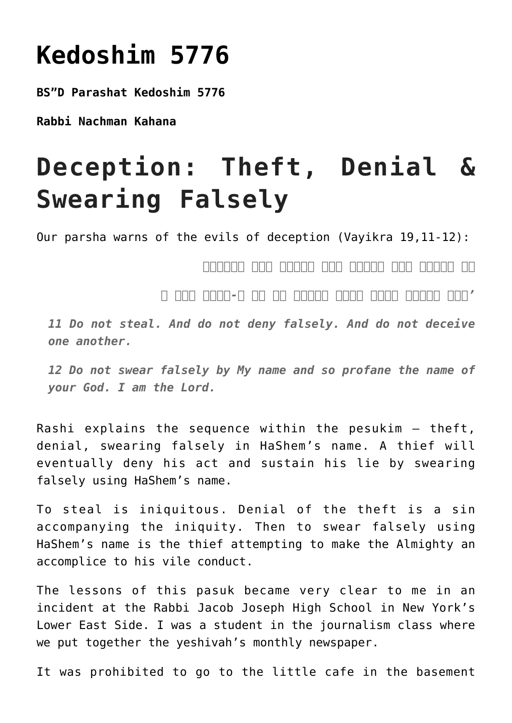## **[Kedoshim 5776](https://nachmankahana.com/kedoshim-5776/)**

**BS"D Parashat Kedoshim 5776**

**Rabbi Nachman Kahana**

## **Deception: Theft, Denial & Swearing Falsely**

Our parsha warns of the evils of deception (Vayikra 19,11-12):

*לא תגנבו ולא תכחשו ולא תשקרו איש בעמיתו*

*'ולא תשבעו בשמי לשקר וחללת את שם א-להיך אני ה*

*11 Do not steal. And do not deny falsely. And do not deceive one another.*

*12 Do not swear falsely by My name and so profane the name of your God. I am the Lord.*

Rashi explains the sequence within the pesukim – theft, denial, swearing falsely in HaShem's name. A thief will eventually deny his act and sustain his lie by swearing falsely using HaShem's name.

To steal is iniquitous. Denial of the theft is a sin accompanying the iniquity. Then to swear falsely using HaShem's name is the thief attempting to make the Almighty an accomplice to his vile conduct.

The lessons of this pasuk became very clear to me in an incident at the Rabbi Jacob Joseph High School in New York's Lower East Side. I was a student in the journalism class where we put together the yeshivah's monthly newspaper.

It was prohibited to go to the little cafe in the basement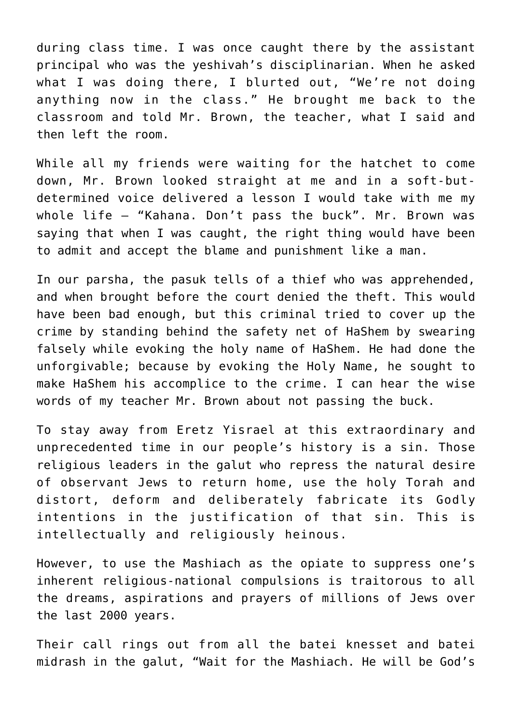during class time. I was once caught there by the assistant principal who was the yeshivah's disciplinarian. When he asked what I was doing there, I blurted out, "We're not doing anything now in the class." He brought me back to the classroom and told Mr. Brown, the teacher, what I said and then left the room.

While all my friends were waiting for the hatchet to come down, Mr. Brown looked straight at me and in a soft-butdetermined voice delivered a lesson I would take with me my whole life – "Kahana. Don't pass the buck". Mr. Brown was saying that when I was caught, the right thing would have been to admit and accept the blame and punishment like a man.

In our parsha, the pasuk tells of a thief who was apprehended, and when brought before the court denied the theft. This would have been bad enough, but this criminal tried to cover up the crime by standing behind the safety net of HaShem by swearing falsely while evoking the holy name of HaShem. He had done the unforgivable; because by evoking the Holy Name, he sought to make HaShem his accomplice to the crime. I can hear the wise words of my teacher Mr. Brown about not passing the buck.

To stay away from Eretz Yisrael at this extraordinary and unprecedented time in our people's history is a sin. Those religious leaders in the galut who repress the natural desire of observant Jews to return home, use the holy Torah and distort, deform and deliberately fabricate its Godly intentions in the justification of that sin. This is intellectually and religiously heinous.

However, to use the Mashiach as the opiate to suppress one's inherent religious-national compulsions is traitorous to all the dreams, aspirations and prayers of millions of Jews over the last 2000 years.

Their call rings out from all the batei knesset and batei midrash in the galut, "Wait for the Mashiach. He will be God's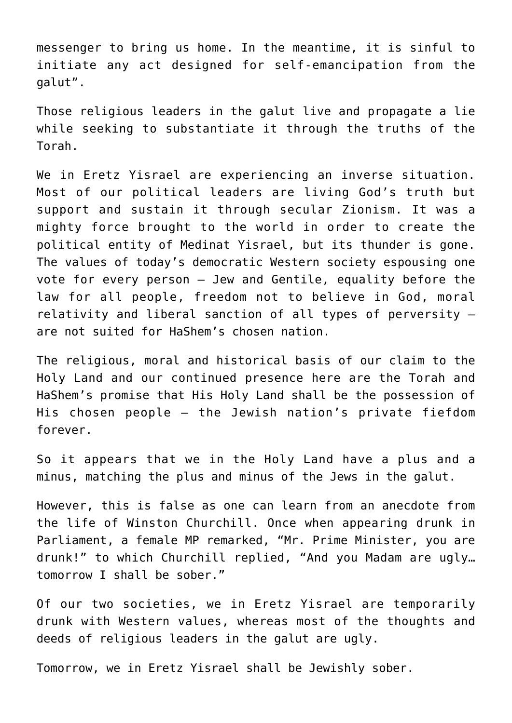messenger to bring us home. In the meantime, it is sinful to initiate any act designed for self-emancipation from the galut".

Those religious leaders in the galut live and propagate a lie while seeking to substantiate it through the truths of the Torah.

We in Eretz Yisrael are experiencing an inverse situation. Most of our political leaders are living God's truth but support and sustain it through secular Zionism. It was a mighty force brought to the world in order to create the political entity of Medinat Yisrael, but its thunder is gone. The values of today's democratic Western society espousing one vote for every person – Jew and Gentile, equality before the law for all people, freedom not to believe in God, moral relativity and liberal sanction of all types of perversity – are not suited for HaShem's chosen nation.

The religious, moral and historical basis of our claim to the Holy Land and our continued presence here are the Torah and HaShem's promise that His Holy Land shall be the possession of His chosen people – the Jewish nation's private fiefdom forever.

So it appears that we in the Holy Land have a plus and a minus, matching the plus and minus of the Jews in the galut.

However, this is false as one can learn from an anecdote from the life of Winston Churchill. Once when appearing drunk in Parliament, a female MP remarked, "Mr. Prime Minister, you are drunk!" to which Churchill replied, "And you Madam are ugly… tomorrow I shall be sober."

Of our two societies, we in Eretz Yisrael are temporarily drunk with Western values, whereas most of the thoughts and deeds of religious leaders in the galut are ugly.

Tomorrow, we in Eretz Yisrael shall be Jewishly sober.